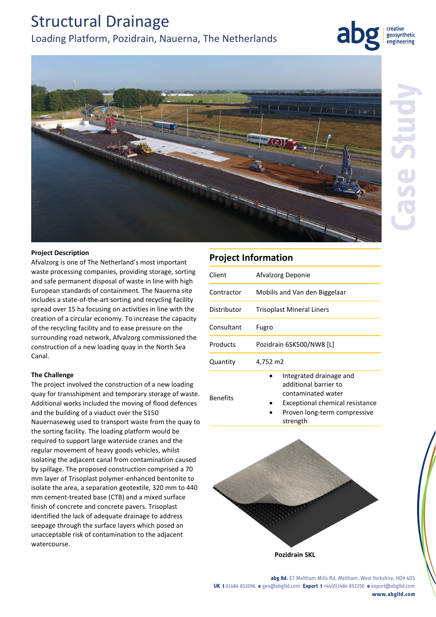# Structural Drainage Loading Platform, Pozidrain, Nauerna, The Netherlands



geosynthetic engineering



## **Project Description**

Afvalzorg is one of The Netherland's most important waste processing companies, providing storage, sorting and safe permanent disposal of waste in line with high European standards of containment. The Nauerna site includes a state-of-the-art sorting and recycling facility spread over 15 ha focusing on activities in line with the creation of a circular economy. To increase the capacity of the recycling facility and to ease pressure on the surrounding road network, Afvalzorg commissioned the construction of a new loading quay in the North Sea Canal.

#### **The Challenge**

The project involved the construction of a new loading quay for transshipment and temporary storage of waste. Additional works included the moving of flood defences and the building of a viaduct over the S150 Nauernaseweg used to transport waste from the quay to the sorting facility. The loading platform would be required to support large waterside cranes and the regular movement of heavy goods vehicles, whilst isolating the adjacent canal from contamination caused by spillage. The proposed construction comprised a 70 mm layer of Trisoplast polymer-enhanced bentonite to isolate the area, a separation geotextile, 320 mm to 440 mm cement-treated base (CTB) and a mixed surface finish of concrete and concrete pavers. Trisoplast identified the lack of adequate drainage to address seepage through the surface layers which posed an unacceptable risk of contamination to the adjacent watercourse.

## **Project Information** Client Afvalzorg Deponie Contractor Mobilis and Van den Biggelaar Distributor Trisoplast Mineral Liners Consultant Fugro Products Pozidrain 6SK500/NW8 [L] Quantity 4,752 m2 Benefits Integrated drainage and additional barrier to contaminated water Exceptional chemical resistance Proven long-term compressive strength



**abg ltd.** E7 Meltham Mills Rd, Meltham, West Yorkshire, HD9 4DS **UK t** 01484 852096 **e** geo@abgltd.com **Export t** +44(0)1484 852250 **e** export@abgltd.com **www.abgltd.com**